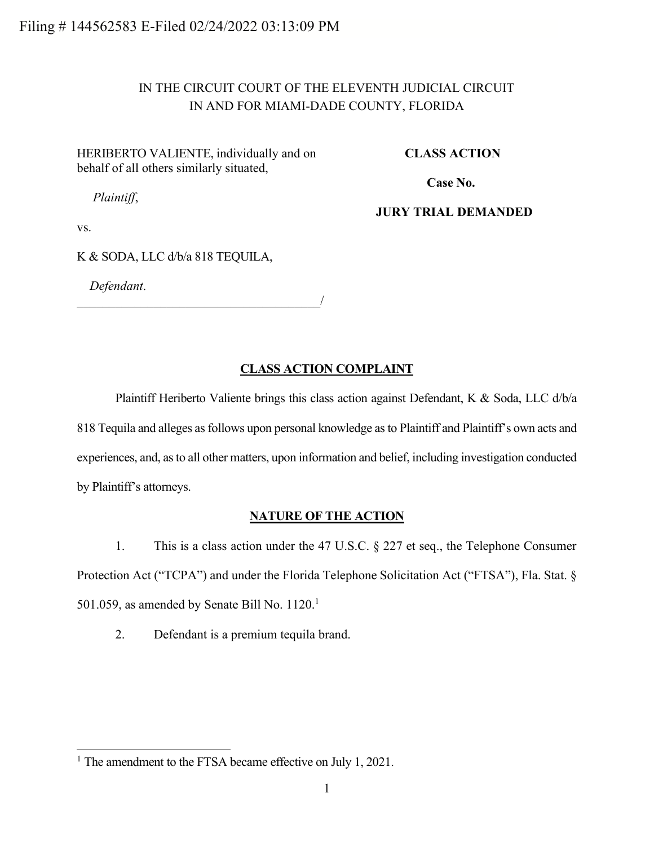# IN THE CIRCUIT COURT OF THE ELEVENTH JUDICIAL CIRCUIT IN AND FOR MIAMI-DADE COUNTY, FLORIDA

HERIBERTO VALIENTE, individually and on behalf of all others similarly situated,

**CLASS ACTION**

**Case No.** 

*Plaintiff*,

**JURY TRIAL DEMANDED**

vs.

K & SODA, LLC d/b/a 818 TEQUILA,

*Defendant*.

 $\overline{\phantom{a}}$ 

### **CLASS ACTION COMPLAINT**

Plaintiff Heriberto Valiente brings this class action against Defendant, K & Soda, LLC d/b/a 818 Tequila and alleges as follows upon personal knowledge as to Plaintiff and Plaintiff's own acts and experiences, and, as to all other matters, upon information and belief, including investigation conducted by Plaintiff's attorneys.

### **NATURE OF THE ACTION**

1. This is a class action under the 47 U.S.C. § 227 et seq., the Telephone Consumer Protection Act ("TCPA") and under the Florida Telephone Solicitation Act ("FTSA"), Fla. Stat. § 501.059, as amended by Senate Bill No.  $1120.<sup>1</sup>$ 

2. Defendant is a premium tequila brand.

<sup>&</sup>lt;sup>1</sup> The amendment to the FTSA became effective on July 1, 2021.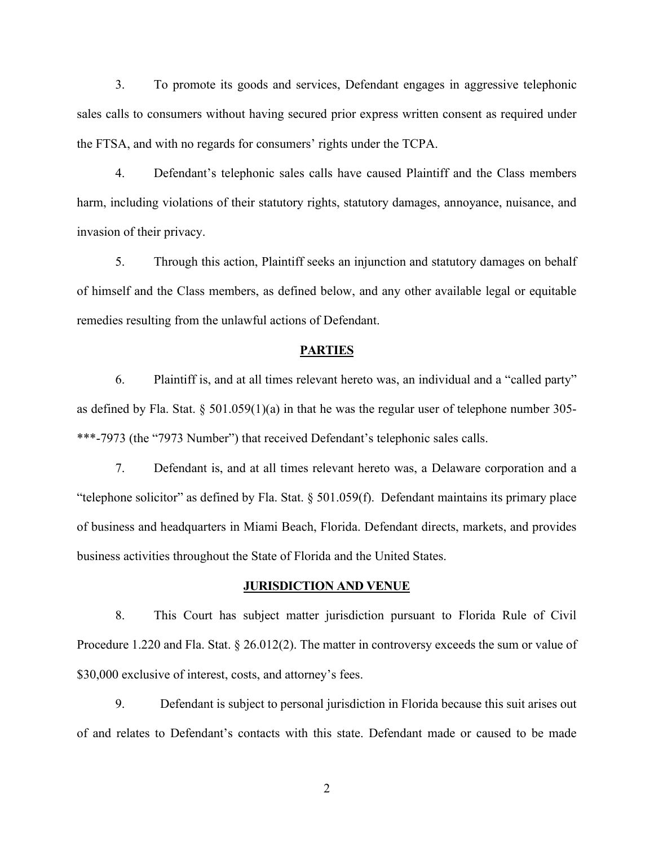3. To promote its goods and services, Defendant engages in aggressive telephonic sales calls to consumers without having secured prior express written consent as required under the FTSA, and with no regards for consumers' rights under the TCPA.

4. Defendant's telephonic sales calls have caused Plaintiff and the Class members harm, including violations of their statutory rights, statutory damages, annoyance, nuisance, and invasion of their privacy.

5. Through this action, Plaintiff seeks an injunction and statutory damages on behalf of himself and the Class members, as defined below, and any other available legal or equitable remedies resulting from the unlawful actions of Defendant.

#### **PARTIES**

6. Plaintiff is, and at all times relevant hereto was, an individual and a "called party" as defined by Fla. Stat.  $\S 501.059(1)(a)$  in that he was the regular user of telephone number 305-\*\*\*-7973 (the "7973 Number") that received Defendant's telephonic sales calls.

7. Defendant is, and at all times relevant hereto was, a Delaware corporation and a "telephone solicitor" as defined by Fla. Stat. § 501.059(f). Defendant maintains its primary place of business and headquarters in Miami Beach, Florida. Defendant directs, markets, and provides business activities throughout the State of Florida and the United States.

#### **JURISDICTION AND VENUE**

8. This Court has subject matter jurisdiction pursuant to Florida Rule of Civil Procedure 1.220 and Fla. Stat. § 26.012(2). The matter in controversy exceeds the sum or value of \$30,000 exclusive of interest, costs, and attorney's fees.

9. Defendant is subject to personal jurisdiction in Florida because this suit arises out of and relates to Defendant's contacts with this state. Defendant made or caused to be made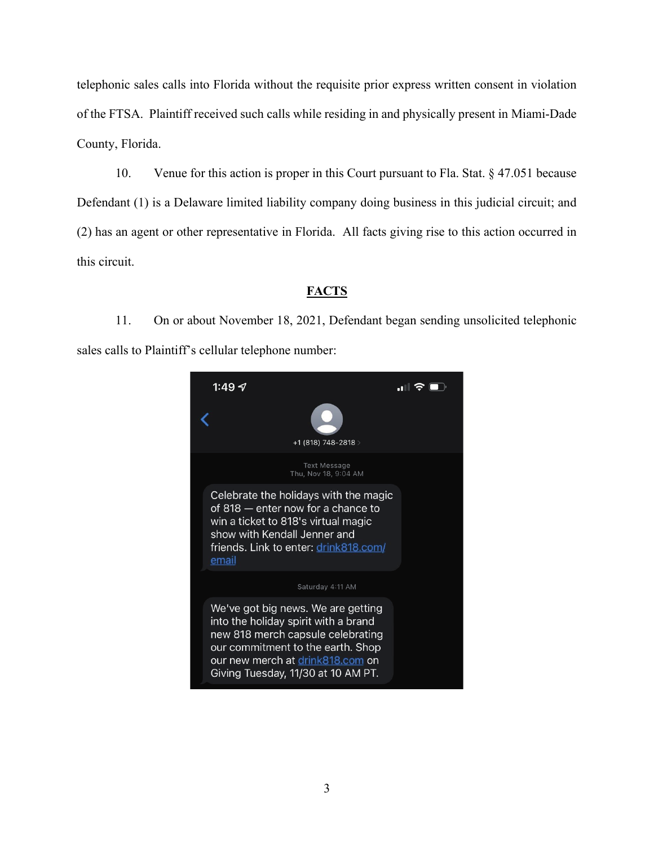telephonic sales calls into Florida without the requisite prior express written consent in violation of the FTSA. Plaintiff received such calls while residing in and physically present in Miami-Dade County, Florida.

10. Venue for this action is proper in this Court pursuant to Fla. Stat. § 47.051 because Defendant (1) is a Delaware limited liability company doing business in this judicial circuit; and (2) has an agent or other representative in Florida. All facts giving rise to this action occurred in this circuit.

## **FACTS**

11. On or about November 18, 2021, Defendant began sending unsolicited telephonic sales calls to Plaintiff's cellular telephone number:

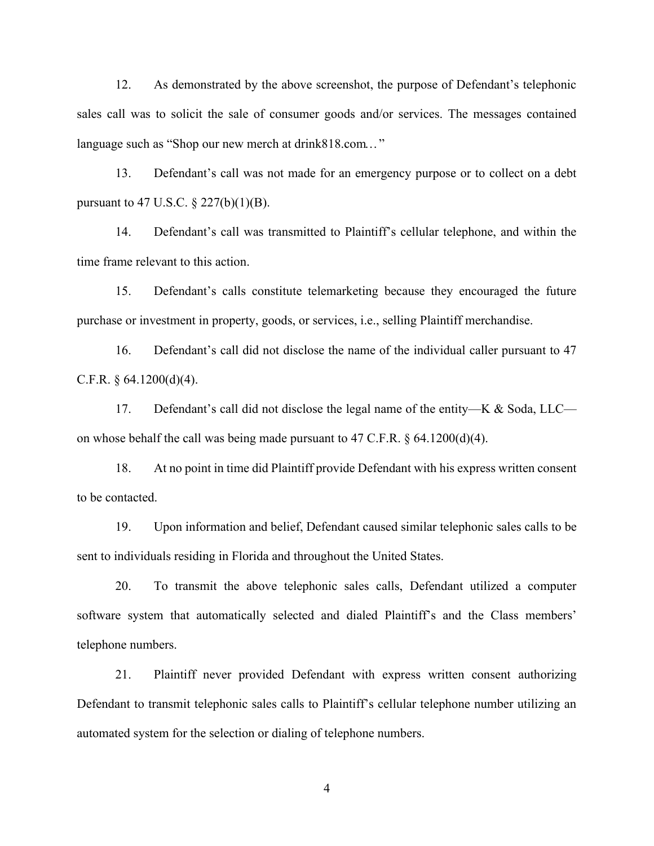12. As demonstrated by the above screenshot, the purpose of Defendant's telephonic sales call was to solicit the sale of consumer goods and/or services. The messages contained language such as "Shop our new merch at drink818.com..."

13. Defendant's call was not made for an emergency purpose or to collect on a debt pursuant to 47 U.S.C.  $\S 227(b)(1)(B)$ .

14. Defendant's call was transmitted to Plaintiff's cellular telephone, and within the time frame relevant to this action.

15. Defendant's calls constitute telemarketing because they encouraged the future purchase or investment in property, goods, or services, i.e., selling Plaintiff merchandise.

16. Defendant's call did not disclose the name of the individual caller pursuant to 47 C.F.R.  $\S$  64.1200(d)(4).

17. Defendant's call did not disclose the legal name of the entity—K & Soda, LLC on whose behalf the call was being made pursuant to 47 C.F.R.  $\S$  64.1200(d)(4).

18. At no point in time did Plaintiff provide Defendant with his express written consent to be contacted.

19. Upon information and belief, Defendant caused similar telephonic sales calls to be sent to individuals residing in Florida and throughout the United States.

20. To transmit the above telephonic sales calls, Defendant utilized a computer software system that automatically selected and dialed Plaintiff's and the Class members' telephone numbers.

21. Plaintiff never provided Defendant with express written consent authorizing Defendant to transmit telephonic sales calls to Plaintiff's cellular telephone number utilizing an automated system for the selection or dialing of telephone numbers.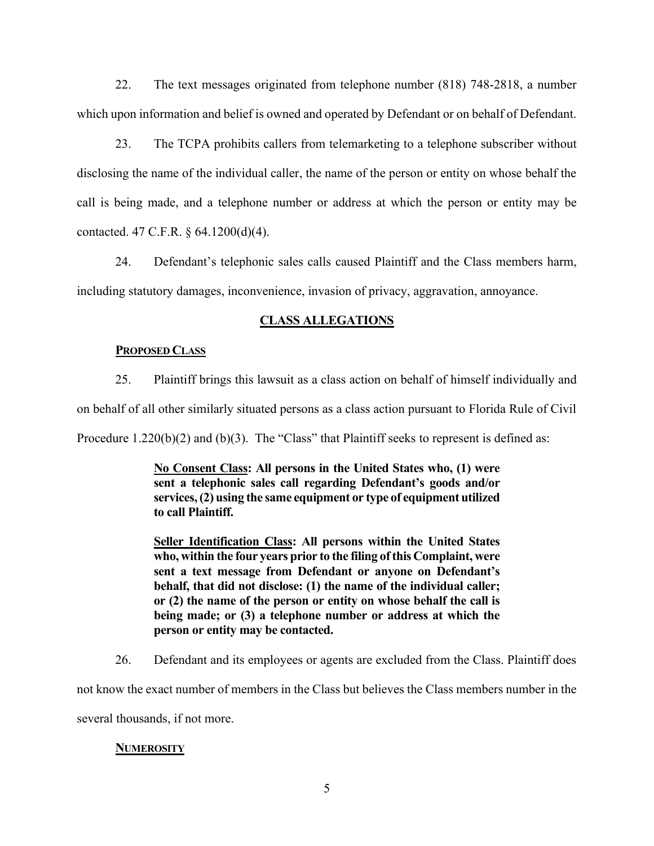22. The text messages originated from telephone number (818) 748-2818, a number which upon information and belief is owned and operated by Defendant or on behalf of Defendant.

23. The TCPA prohibits callers from telemarketing to a telephone subscriber without disclosing the name of the individual caller, the name of the person or entity on whose behalf the call is being made, and a telephone number or address at which the person or entity may be contacted. 47 C.F.R. § 64.1200(d)(4).

24. Defendant's telephonic sales calls caused Plaintiff and the Class members harm, including statutory damages, inconvenience, invasion of privacy, aggravation, annoyance.

## **CLASS ALLEGATIONS**

## **PROPOSED CLASS**

25. Plaintiff brings this lawsuit as a class action on behalf of himself individually and

on behalf of all other similarly situated persons as a class action pursuant to Florida Rule of Civil

Procedure 1.220(b)(2) and (b)(3). The "Class" that Plaintiff seeks to represent is defined as:

**No Consent Class: All persons in the United States who, (1) were sent a telephonic sales call regarding Defendant's goods and/or services, (2) using the same equipment or type of equipment utilized to call Plaintiff.**

**Seller Identification Class: All persons within the United States who, within the four years prior to the filing of this Complaint, were sent a text message from Defendant or anyone on Defendant's behalf, that did not disclose: (1) the name of the individual caller; or (2) the name of the person or entity on whose behalf the call is being made; or (3) a telephone number or address at which the person or entity may be contacted.**

26. Defendant and its employees or agents are excluded from the Class. Plaintiff does

not know the exact number of members in the Class but believes the Class members number in the

several thousands, if not more.

## **NUMEROSITY**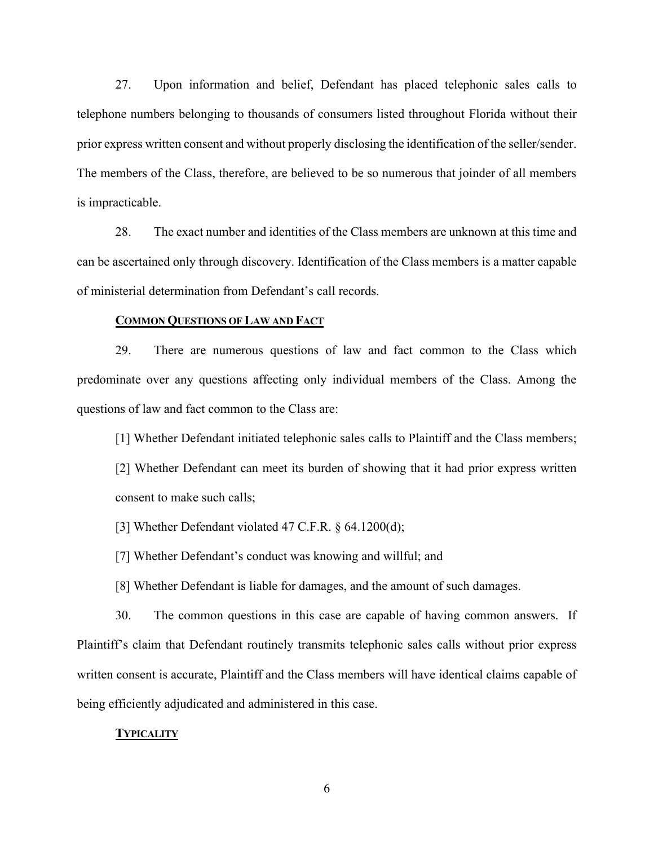27. Upon information and belief, Defendant has placed telephonic sales calls to telephone numbers belonging to thousands of consumers listed throughout Florida without their prior express written consent and without properly disclosing the identification of the seller/sender. The members of the Class, therefore, are believed to be so numerous that joinder of all members is impracticable.

28. The exact number and identities of the Class members are unknown at this time and can be ascertained only through discovery. Identification of the Class members is a matter capable of ministerial determination from Defendant's call records.

#### **COMMON QUESTIONS OF LAW AND FACT**

29. There are numerous questions of law and fact common to the Class which predominate over any questions affecting only individual members of the Class. Among the questions of law and fact common to the Class are:

[1] Whether Defendant initiated telephonic sales calls to Plaintiff and the Class members; [2] Whether Defendant can meet its burden of showing that it had prior express written consent to make such calls;

[3] Whether Defendant violated 47 C.F.R.  $\S$  64.1200(d);

[7] Whether Defendant's conduct was knowing and willful; and

[8] Whether Defendant is liable for damages, and the amount of such damages.

30. The common questions in this case are capable of having common answers. If Plaintiff's claim that Defendant routinely transmits telephonic sales calls without prior express written consent is accurate, Plaintiff and the Class members will have identical claims capable of being efficiently adjudicated and administered in this case.

#### **TYPICALITY**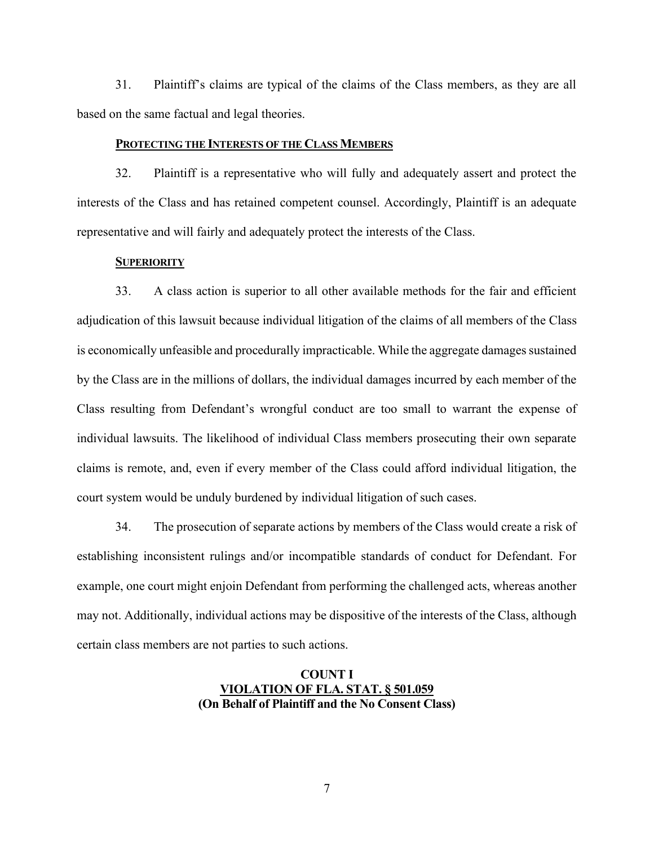31. Plaintiff's claims are typical of the claims of the Class members, as they are all based on the same factual and legal theories.

#### **PROTECTING THE INTERESTS OF THE CLASS MEMBERS**

32. Plaintiff is a representative who will fully and adequately assert and protect the interests of the Class and has retained competent counsel. Accordingly, Plaintiff is an adequate representative and will fairly and adequately protect the interests of the Class.

#### **SUPERIORITY**

33. A class action is superior to all other available methods for the fair and efficient adjudication of this lawsuit because individual litigation of the claims of all members of the Class is economically unfeasible and procedurally impracticable. While the aggregate damages sustained by the Class are in the millions of dollars, the individual damages incurred by each member of the Class resulting from Defendant's wrongful conduct are too small to warrant the expense of individual lawsuits. The likelihood of individual Class members prosecuting their own separate claims is remote, and, even if every member of the Class could afford individual litigation, the court system would be unduly burdened by individual litigation of such cases.

34. The prosecution of separate actions by members of the Class would create a risk of establishing inconsistent rulings and/or incompatible standards of conduct for Defendant. For example, one court might enjoin Defendant from performing the challenged acts, whereas another may not. Additionally, individual actions may be dispositive of the interests of the Class, although certain class members are not parties to such actions.

## **COUNT I VIOLATION OF FLA. STAT. § 501.059 (On Behalf of Plaintiff and the No Consent Class)**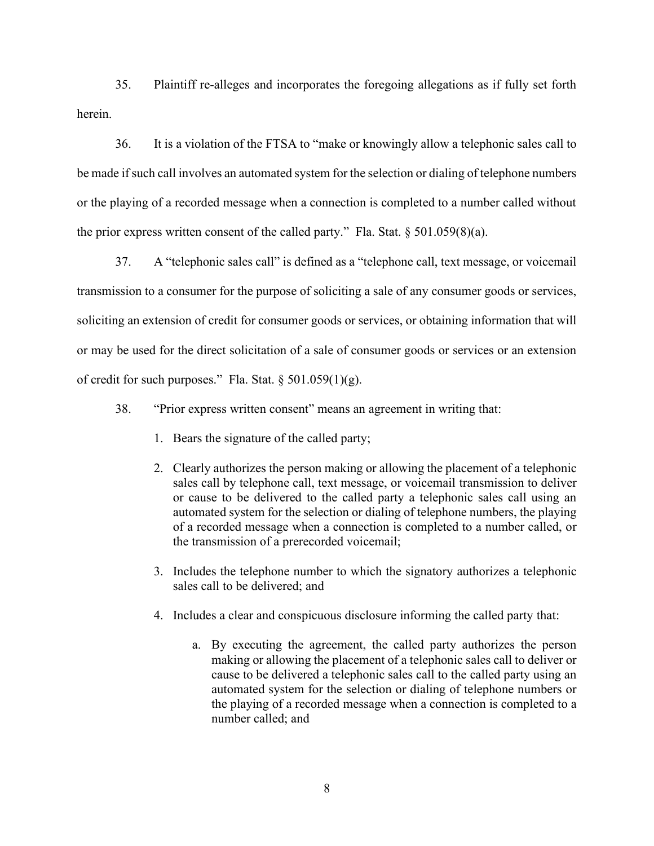35. Plaintiff re-alleges and incorporates the foregoing allegations as if fully set forth herein.

36. It is a violation of the FTSA to "make or knowingly allow a telephonic sales call to be made if such call involves an automated system for the selection or dialing of telephone numbers or the playing of a recorded message when a connection is completed to a number called without the prior express written consent of the called party." Fla. Stat.  $\S 501.059(8)(a)$ .

37. A "telephonic sales call" is defined as a "telephone call, text message, or voicemail transmission to a consumer for the purpose of soliciting a sale of any consumer goods or services, soliciting an extension of credit for consumer goods or services, or obtaining information that will or may be used for the direct solicitation of a sale of consumer goods or services or an extension of credit for such purposes." Fla. Stat.  $\S 501.059(1)(g)$ .

- 38. "Prior express written consent" means an agreement in writing that:
	- 1. Bears the signature of the called party;
	- 2. Clearly authorizes the person making or allowing the placement of a telephonic sales call by telephone call, text message, or voicemail transmission to deliver or cause to be delivered to the called party a telephonic sales call using an automated system for the selection or dialing of telephone numbers, the playing of a recorded message when a connection is completed to a number called, or the transmission of a prerecorded voicemail;
	- 3. Includes the telephone number to which the signatory authorizes a telephonic sales call to be delivered; and
	- 4. Includes a clear and conspicuous disclosure informing the called party that:
		- a. By executing the agreement, the called party authorizes the person making or allowing the placement of a telephonic sales call to deliver or cause to be delivered a telephonic sales call to the called party using an automated system for the selection or dialing of telephone numbers or the playing of a recorded message when a connection is completed to a number called; and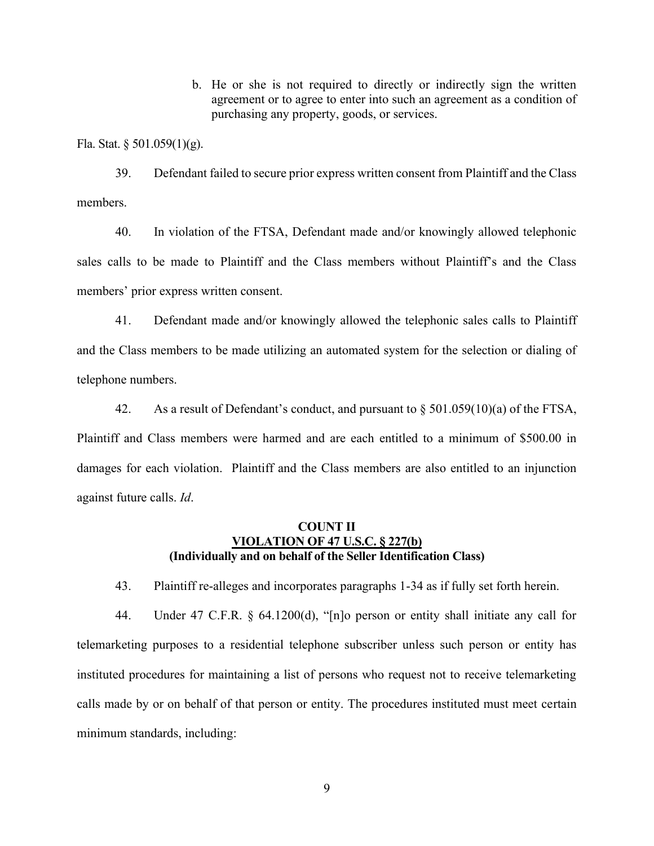b. He or she is not required to directly or indirectly sign the written agreement or to agree to enter into such an agreement as a condition of purchasing any property, goods, or services.

Fla. Stat. § 501.059(1)(g).

39. Defendant failed to secure prior express written consent from Plaintiff and the Class members.

40. In violation of the FTSA, Defendant made and/or knowingly allowed telephonic sales calls to be made to Plaintiff and the Class members without Plaintiff's and the Class members' prior express written consent.

41. Defendant made and/or knowingly allowed the telephonic sales calls to Plaintiff and the Class members to be made utilizing an automated system for the selection or dialing of telephone numbers.

42. As a result of Defendant's conduct, and pursuant to § 501.059(10)(a) of the FTSA, Plaintiff and Class members were harmed and are each entitled to a minimum of \$500.00 in damages for each violation. Plaintiff and the Class members are also entitled to an injunction against future calls. *Id*.

### **COUNT II VIOLATION OF 47 U.S.C. § 227(b) (Individually and on behalf of the Seller Identification Class)**

43. Plaintiff re-alleges and incorporates paragraphs 1-34 as if fully set forth herein.

44. Under 47 C.F.R. § 64.1200(d), "[n]o person or entity shall initiate any call for telemarketing purposes to a residential telephone subscriber unless such person or entity has instituted procedures for maintaining a list of persons who request not to receive telemarketing calls made by or on behalf of that person or entity. The procedures instituted must meet certain minimum standards, including: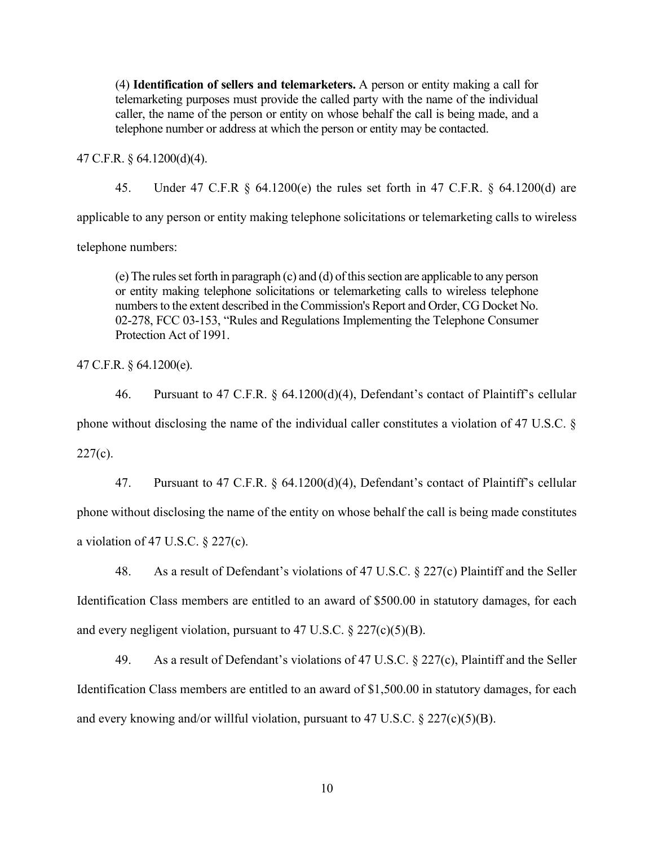(4) **Identification of sellers and telemarketers.** A person or entity making a call for telemarketing purposes must provide the called party with the name of the individual caller, the name of the person or entity on whose behalf the call is being made, and a telephone number or address at which the person or entity may be contacted.

47 C.F.R. § 64.1200(d)(4).

45. Under 47 C.F.R § 64.1200(e) the rules set forth in 47 C.F.R. § 64.1200(d) are

applicable to any person or entity making telephone solicitations or telemarketing calls to wireless

telephone numbers:

(e) The rules set forth in paragraph (c) and (d) of this section are applicable to any person or entity making telephone solicitations or telemarketing calls to wireless telephone numbers to the extent described in the Commission's Report and Order, CG Docket No. 02-278, FCC 03-153, "Rules and Regulations Implementing the Telephone Consumer Protection Act of 1991.

47 C.F.R. § 64.1200(e).

46. Pursuant to 47 C.F.R. § 64.1200(d)(4), Defendant's contact of Plaintiff's cellular phone without disclosing the name of the individual caller constitutes a violation of 47 U.S.C. §  $227(c)$ .

47. Pursuant to 47 C.F.R. § 64.1200(d)(4), Defendant's contact of Plaintiff's cellular phone without disclosing the name of the entity on whose behalf the call is being made constitutes a violation of 47 U.S.C.  $\S$  227(c).

48. As a result of Defendant's violations of 47 U.S.C. § 227(c) Plaintiff and the Seller Identification Class members are entitled to an award of \$500.00 in statutory damages, for each and every negligent violation, pursuant to 47 U.S.C.  $\S 227(c)(5)(B)$ .

49. As a result of Defendant's violations of 47 U.S.C. § 227(c), Plaintiff and the Seller Identification Class members are entitled to an award of \$1,500.00 in statutory damages, for each and every knowing and/or willful violation, pursuant to 47 U.S.C.  $\S$  227(c)(5)(B).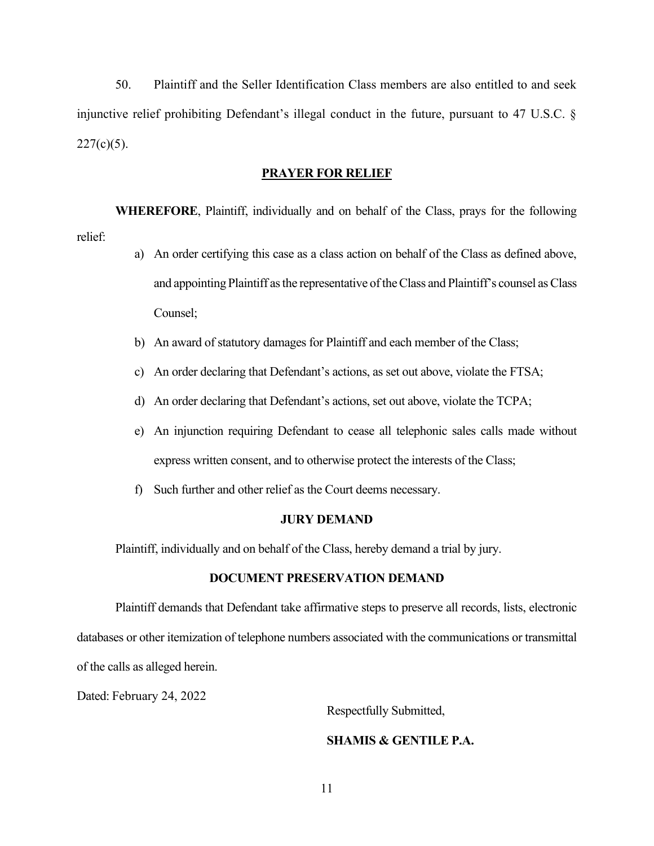50. Plaintiff and the Seller Identification Class members are also entitled to and seek injunctive relief prohibiting Defendant's illegal conduct in the future, pursuant to 47 U.S.C. §  $227(c)(5)$ .

#### **PRAYER FOR RELIEF**

**WHEREFORE**, Plaintiff, individually and on behalf of the Class, prays for the following relief:

- a) An order certifying this case as a class action on behalf of the Class as defined above, and appointing Plaintiff as the representative of the Class and Plaintiff's counsel as Class Counsel;
- b) An award of statutory damages for Plaintiff and each member of the Class;
- c) An order declaring that Defendant's actions, as set out above, violate the FTSA;
- d) An order declaring that Defendant's actions, set out above, violate the TCPA;
- e) An injunction requiring Defendant to cease all telephonic sales calls made without express written consent, and to otherwise protect the interests of the Class;
- f) Such further and other relief as the Court deems necessary.

#### **JURY DEMAND**

Plaintiff, individually and on behalf of the Class, hereby demand a trial by jury.

#### **DOCUMENT PRESERVATION DEMAND**

Plaintiff demands that Defendant take affirmative steps to preserve all records, lists, electronic databases or other itemization of telephone numbers associated with the communications or transmittal of the calls as alleged herein.

Dated: February 24, 2022

Respectfully Submitted,

### **SHAMIS & GENTILE P.A.**